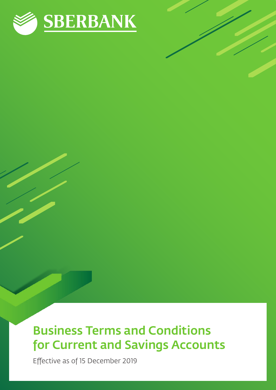

# Business Terms and Conditions for Current and Savings Accounts

Effective as of 15 December 2019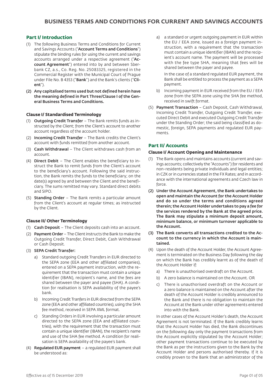# **Part I/ Introduction**

- (1) The following Business Terms and Conditions for Current and Savings Accounts ("Account Terms and Conditions") stipulate the binding rules for using the current and savings accounts arranged under a respective agreement ("Account Agreement") entered into by and between Sberbank CZ, a.s., Co. Reg. No. 25083325, registered in the Commercial Register with the Municipal Court of Prague under File No. B 4353 ("Bank") and the Bank's clients ("Client").
- (2) Any capitalised terms used but not defined herein have the meaning defined in Part Three/Clause I of the General Business Terms and Conditions.

#### **Clause I/ Standardised Terminology**

- (1) Outgoing Credit Transfer The Bank remits funds as instructed by the Client; from the Client's account to another account regardless of the account holder.
- (2) Incoming Credit Transfer The Bank credits the Client's account with funds remitted from another account.
- (3) Cash Withdrawal The Client withdraws cash from an account.
- (4) Direct Debit The Client enables the beneficiary to instruct the Bank to remit funds from the Client's account to the beneficiary's account. Following the said instruction, the Bank remits the funds to the beneficiary; on the date(s) agreed by and between the Client and the beneficiary. The sums remitted may vary. Standard direct debits and SIPO.
- (5) Standing Order The Bank remits a particular amount from the Client's account at regular times; as instructed by the Client.

#### **Clause II/ Other Terminology**

- (1) Cash Deposit The Client deposits cash into an account.
- (2) Payment Order The Client instructs the Bank to make the Outgoing Credit Transfer, Direct Debit, Cash Withdrawal or Cash Deposit.
- (3) SEPA Credit Transfer:
	- a) Standard outgoing Credit Transfers in EUR directed to the SEPA zone (EEA and other affiliated companies), entered on a SEPA payment instruction, with the requirement that the transaction must contain a unique identifier (IBAN), recipient's name, and the fees are shared between the payer and payee (SHA). A condition for realisation is SEPA availability of the payee's bank.
	- b) Incoming Credit Tranfers in EUR directed from the SEPA zone (EEA and other affiliated countries), using the SHA fee method, received in SEPA XML format.
	- c) Standing Orders in EUR involving a particular amount directed to the SEPA zone (EEA and affiliated countries), with the requirement that the transaction must contain a unique identifier (IBAN), the recipient's name and use of the SHA fee method. A condition for realisation is SEPA availability of the payee's bank.
- (4) Regulated EUR payment a regulated EUR payment shall be understood as:

a) a standard or urgent outgoing payment in EUR within the EU / EEA zone, issued as a foreign payment instruction, with a requirement that the transaction must contain a unique identifier (IBAN) and the recipient's account name. The payment will be processed with the fee type SHA, meaning that fees will be shared between the payer and payee.

 In the case of a standard regulated EUR payment, the Bank shall be entitled to process the payment as a SEPA payment.

- b) Incoming payment in EUR received from the EU / EEA zone from the SEPA zone using the SHA fee method, received in swift format.
- (5) Payment Transaction Cash Deposit, Cash Withdrawal, Incoming Credit Transfer, Outgoing Credit Transfer, executed Direct Debit and executed Outgoing Credit Transfer under the Standing Order; the said being classified as domestic, foreign, SEPA payments and regulated EUR payments.

#### **Part II/ Accounts**

#### **Clause I/ Account Opening and Maintenance**

- (1) The Bank opens and maintains accounts (current and savings accounts; collectively the "Accounts") for residents and non-residents being private individuals and legal entities; in CZK or in currencies stated in the FX Rates; and in accordance with the international agreements and Czech law in force.
- (2) Under the Account Agreement, the Bank undertakes to open and maintain the Account for the Account Holder and do so under the terms and conditions agreed therein; the Account Holder undertakes to pay a fee for the services rendered by the Bank at the agreed price. The Bank may stipulate a minimum deposit amount, minimum balance, or minimum turnover applicable to the Account.
- (3) The Bank converts all transactions credited to the Account to the currency in which the Account is maintained.
- (4) Upon the death of the Account Holder, the Account Agreement is terminated on the Business Day following the day on which the Bank has credibly learnt as of the death of the Account Holder if:
	- a) There is unauthorised overdraft on the Account.
	- b) A zero balance is maintained on the Account. OR
	- c) There is unauthorised overdraft on the Account or a zero balance is maintained on the Account after the death of the Account Holder is credibly announced to the Bank and there is no obligation to maintain the Account at the Bank under other agreements entered into with the Bank.

In other cases of the Account Holder's death, the Account Agreement is not terminated. If the Bank credibly learns that the Account Holder has died, the Bank discontinues on the following day only the payment transactions from the Account explicitly stipulated by the Account Holder; other payment transactions continue to be executed by the Bank as per the instructions given to the Bank by the Account Holder and persons authorised thereby. If it is credibly proven to the Bank that an administrator of the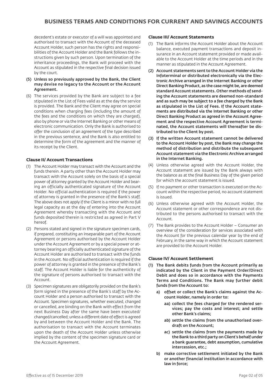decedent's estate or executor of a will was appointed and authorised to transact with the Account of the deceased Account Holder, such person has the rights and responsibilities of the Account Holder and the Bank follows the instructions given by such person. Upon termination of the inheritance proceedings, the Bank will proceed with the Account as stipulated in the respective final decision issued by the court.

- (5) Unless so previously approved by the Bank, the Client may devise no legacy to the Account or the Account Agreement.
- (6) The services provided by the Bank are subject to a fee stipulated in the List of Fees valid as at the day the service is provided. The Bank and the Client may agree on special conditions when charging fees (including the amount of the fees and the conditions on which they are charged), also by phone or via the Internet Banking or other means of electronic communication. Only the Bank is authorised to offer the conclusion of an agreement of the type described in the previous sentence, and the Bank is also entitled to determine the form of the agreement and the manner of its receipt by the Client.

# **Clause II/ Account Transactions**

- (1) The Account Holder may transact with the Account and the funds therein. A party other than the Account Holder may transact with the Account solely on the basis of a special power of attorney granted by the Account Holder and bearing an officially authenticated signature of the Account Holder. No official authentication is required if the power of attorney is granted in the presence of the Bank's staff. The above does not apply if the Client is a minor with no full legal capacity as at the day of entering into the Account Agreement whereby transacting with the Account and funds deposited therein is restricted as agreed in Part V hereof.
- (2) Persons stated and signed in the signature specimen cards, if prepared, constituting an inseparable part of the Account Agreement or persons authorised by the Account Holder under the Account Agreement or by a special power or attorney bearing an officially authenticated signature of the Account Holder are authorised to transact with the funds in the Account. No official authentication is required if the power of attorney is granted in the presence of the Bank's staff. The Account Holder is liable for the authenticity of the signature of persons authorised to transact with the Account.
- (3) Specimen signatures are obligatorily provided on the Bank's form signed in the presence of the Bank's staff by the Account Holder and a person authorised to transact with the Account. Specimen signatures, whether executed, changed or cancelled, are binding on the Bank with effect from the next Business Day after the same have been executed/ changed/cancelled; unless a different date of effect is agreed by and between the Account Holder and the Bank. The authorisation to transact with the Account terminates upon the death of the Account Holder unless otherwise implied by the content of the specimen signature card or the Account Agreement.

#### **Clause III/ Account Statements**

- (1) The Bank informs the Account Holder about the Account balance, executed payment transactions and deposit insurance in an Account statement provided or made available to the Account Holder at the time periods and in the manner as stipulated in the Account Agreement.
- (2) Account statements sent to the Account Holder via the Infoterminal or distributed electronically via the Electronic Archive arranged in the Internet Banking or other Direct Banking Product, as the case might be, are deemed standard Account statements. Other methods of sending the Account statements are deemed non-standard and as such may be subject to a fee charged by the Bank as stipulated in the List of Fees. If the Account statements are distributed via the Internet Banking or other Direct Banking Product as agreed in the Account Agreement and the respective Account Agreement is terminated, the Account statements will thereafter be distributed to the Client by post.
- (3) If the written Account statement cannot be delivered to the Account Holder by post, the Bank may change the method of distribution and distribute the subsequent Account statement via the Electronic Archive arranged in the Internet Banking.
- (4) Unless otherwise agreed with the Account Holder, the Account statement are issued by the Bank always with the balance as at the final Business Day of the given period for which the account statement is issued.
- (5) If no payment or other transaction is executed on the Account within the respective period, no account statement is issued.
- (6) Unless otherwise agreed with the Account Holder, the Account statement or other correspondence are not distributed to the persons authorised to transact with the Account.
- (7) The Bank provides to the Account Holder Consumer an overview of the consideration for services associated with the Account for the previous calendar year by the end of February, in the same way in which the Account statement are provided to the Account Holder.

# **Clause IV/ Account Settlement**

- (1) The Bank debits funds from the Account primarily as indicated by the Client in the Payment Order/Direct Debit and does so in accordance with the Payments Terms and Conditions. The Bank may further debit funds from the Account to:
	- a) offset or collect the Bank's claims against the Account Holder, namely in order to:
		- aa) collect the fees charged for the rendered services; pay the costs and interest; and settle other Bank's claims;
		- ab) settle the claims from the unauthorised overdraft on the Account;
		- ac) settle the claims from the payments made by the Bank to a third party on Client's behalf under a bank guarantee, debt assumption, cumulative intercession, etc.;
	- b) make corrective settlement initiated by the Bank or another financial institution in accordance with law in force;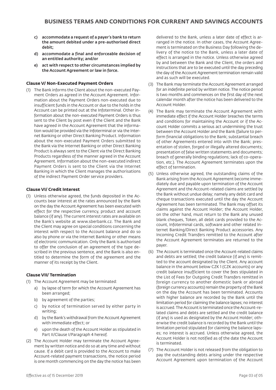- c) accommodate a request of a payer's bank to return the amount debited under a pre-authorised direct debit;
- d) accommodate a final and enforceable decision of an entitled authority; and/or
- e) act with respect to other circumstances implied by the Account Agreement or law in force.

#### **Clause V/ Non-Executed Payment Orders**

(1) The Bank informs the Client about the non-executed Payment Orders as agreed in the Account Agreement. Information about the Payment Orders non-executed due to insufficient funds in the Account or due to the holds in the Account can be printed out at the Infoterminal. Other information about the non-executed Payment Orders is thus sent to the Client by post even if the Client and the Bank have agreed in the Account Agreement that the information would be provided via the Infoterminal or via the Internet Banking or other Direct Banking Product. Information about the non-executed Payment Orders submitted to the Bank via the Internet Banking or other Direct Banking Product is always sent to the Client via the Direct Banking Products regardless of the manner agreed in the Account Agreement. Information about the non-executed indirect Payment Orders is sent to the Client via the Internet Banking in which the Client manages the authorisations of the indirect Payment Order service providers.

#### **Clause VI/ Credit Interest**

(1) Unless otherwise agreed, the funds deposited in the Accounts bear interest at the rates announced by the Bank on the day the Account Agreement has been executed with effect for the respective currency, product and account balance (if any). The current interest rates are available on the Bank's website at www.sberbank.cz. The Bank and the Client may agree on special conditions concerning the interest with respect to the Account balance and do so also by phone or via the Internet Banking or other means of electronic communication. Only the Bank is authorised to offer the conclusion of an agreement of the type described in the previous sentence, and the Bank is also entitled to determine the form of the agreement and the manner of its receipt by the Client.

# **Clause VII/ Termination**

- (1) The Account Agreement may be terminated:
	- a) by lapse of term for which the Account Agreement has been arranged;
	- b) by agreement of the parties;
	- c) by notice of termination served by either party in writing;
	- d) by the Bank's withdrawal from the Account Agreement with immediate effect; or
	- e) upon the death of the Account Holder as stipulated in Part II/Clause I/Paragraph 4 hereof.
- (2) The Account Holder may terminate the Account Agreement by written notice and do so at any time and without cause. If a debit card is provided to the Account to make Account-related payment transactions, the notice period is one month commencing on the day the notice has been

delivered to the Bank, unless a later date of effect is arranged in the notice. In other cases, the Account Agreement is terminated on the Business Day following the delivery of the notice to the Bank, unless a later date of effect is arranged in the notice. Unless otherwise agreed by and between the Bank and the Client, the orders and instructions that are to be executed until the day preceding the day of the Account Agreement termination remain valid and as such will be executed.

- (3) The Bank may terminate the Account Agreement arranged for an indefinite period by written notice. The notice period is two months and commences on the first day of the next calendar month after the notice has been delivered to the Account Holder.
- (4) The Bank may terminate the Account Agreement with immediate effect if the Account Holder breaches the terms and conditions for maintaining the Account or if the Account Holder commits a serious act undermining the trust between the Account Holder and the Bank (failure to perform financial obligations to the Bank; substantial breach of other Agreements entered into with the Bank; presentation of stolen, forged or illegally altered documents; presentation of false written statements and documents; breach of generally binding regulations; lack of co-operation, etc.). The Account Agreement terminates upon the effect of termination.
- (5) Unless otherwise agreed, the outstanding claims of the Bank arising from the Account Agreement become immediately due and payable upon termination of the Account Agreement and the Account-related claims are settled by the Bank without undue delay; namely any debit card and cheque transactions executed until the day the Account Agreement has been terminated. The Bank may offset its claims against the Account Holder; the Account Holder, on the other hand, must return to the Bank any unused blank cheques, Token, all debit cards provided to the Account, Infoterminal cards, software and other related Internet Banking/Direct Banking Product accessories. Any Incoming Credit Transfers remitted to the Account after the Account Agreement terminates are returned to the payer.
- (6) The Account is terminated once the Account-related claims and debts are settled; the credit balance (if any) is remitted to the account designated by the Client. Any account balance in the amount below CZK 1 (CZK accounts) or any credit balance insufficient to cover the fees stipulated in the List of Fees for Outgoing Credit Transfers remitted in foreign currency to another domestic bank or abroad (foreign currency accounts) remain the property of the Bank on the day the Account has been terminated. Accounts with higher balance are recorded by the Bank until the limitation period for claiming the balance lapses; no interest is accrued. The Account is terminated once the Account-related claims and debts are settled and the credit balance (if any) is used as designated by the Account Holder; otherwise the credit balance is recorded by the Bank until the limitation period stipulated for claiming the balance lapses; no interest is accrued. Unless otherwise agreed, the Account Holder is not notified as of the date the Account is terminated.
- (7) The Account Holder is not released from the obligation to pay the outstanding debts arising under the respective Account Agreement upon termination of the Account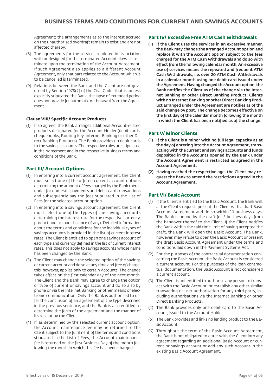Agreement; the arrangements as to the interest accrued on the unauthorised overdraft remain to exist and are not affected thereby.

- (8) The agreements for the services rendered in association with or designed for the terminated Account likewise terminate upon the termination of the Account Agreement. If such Agreement also applies to a different Account Agreement, only that part related to the Account which is to be cancelled is terminated.
- (9) Relations between the Bank and the Client are not governed by Section 1978(2) of the Civil Code; that is, unless explicitly stipulated the Bank, the lapse of extended period does not provide for automatic withdrawal from the Agreement.

#### **Clause VIII/ Specific Account Products**

(1) If so agreed, the Bank arranges additional Account-related products designated for the Account Holder (debit cards, chequebooks, Routing Key, Internet Banking or other Direct Banking Products). The Bank provides no debit cards to the savings accounts. The respective rules are stipulated in the Agreement and in the respective business terms and conditions of the Bank.

# **Part III/ Account Options**

- (1) In entering into a current account agreement, the Client must select one of the offered current account options determining the amount of fees charged by the Bank thereunder for domestic payments and debit card transactions and subsequently pay the fees stipulated in the List of Fees for the selected account option.
- (2) In entering into a savings account agreement, the Client must select one of the types of the savings accounts determining the interest rate for the respective currency, product and account balance (if any). Detailed information about the terms and conditions for the individual types of savings accounts is provided in the list of current interest rates. The Client is entitled to open one savings account of each type and currency defined in the list of current interest rates. This does not apply to savings accounts whose name has been changed by the Bank.
- (3) The Client may change the selected option of the savings or current account and do so at any time and free of charge; this, however, applies only to certain Accounts. The change takes effect on the first calendar day of the next month. The Client and the Bank may agree to change the option or type of current or savings account and do so also by phone or via the Internet Banking or other means of electronic communication. Only the Bank is authorised to offer the conclusion of an agreement of the type described in the previous sentence, and the Bank is also entitled to determine the form of the agreement and the manner of its receipt by the Client.
- (4) If, as determined by the selected current account option, the Account maintenance fee may be returned to the Client subject to the fulfilment of the terms and conditions stipulated in the List of Fees, the Account maintenance fee is returned on the first Business Day of the month following the month in which this fee has been charged.

#### **Part IV/ Excessive Free ATM Cash Withdrawals**

(1) If the Client uses the services in an excessive manner, the Bank may change the arranged Account option and replace it with the Account option subject to the fees charged for the ATM Cash Withdrawals and do so with effect from the following calendar month. An excessive use of services means the repeated and frequent ATM Cash Withdrawals, i.e. over 20 ATM Cash Withdrawals in a calendar month using one debit card issued under the Agreement. Having changed the Account option, the Bank notifies the Client as of the change via the Internet Banking or other Direct Banking Product; Clients with no Internet Banking or other Direct Banking Product arranged under the Agreement are notifies as of the said change by post. The change becomes effective on the first day of the calendar month following the month in which the Client has been notified as of the change.

# **Part V/ Minor Clients**

- (1) If the Client is a minor with no full legal capacity as at the day of entering into the Account Agreement, transacting with the current and savings accounts and funds deposited in the Accounts opened by the Bank under the Account Agreement is restricted as agreed in the Account Agreement.
- (2) Having reached the respective age, the Client may request the Bank to amend the restrictions agreed in the Account Agreement.

# **Part VI/ Basic Account**

- (1) If the Client is entitled to the Basic Account, the Bank will, at the Client's request, present the Client with a draft Basic Account Agreement and do so within 10 business days. The Bank is bound by the draft for 5 business days from the handover thereof to the Client. If the Client notifies the Bank within the said time limit of having accepted the draft, the Bank will open the Basic Account. The Bank, however, may refuse to open the Basic Account or present the draft Basic Account Agreement under the terms and conditions laid down in the Payment Systems Act.
- (2) For the purposes of the contractual documentation concerning the Basic Account, the Basic Account is considered a current account. For the purposes of the loan contractual documentation, the Basic Account is not considered a current account.
- (3) The Client is not entitled to authorise any person to transact with the Basic Account, or establish any other similar transacting or user authorisation for any third party, including authorisations via the Internet Banking or other Direct Banking Products.
- (4) The Bank provides only one debit card to the Basic Account; issued to the Account Holder.
- (5) The Bank provides and links no lending product to the Basic Account.
- (6) Throughout the term of the Basic Account Agreement, the Bank is not obligated to enter with the Client into any agreement regarding an additional Basic Account or current or savings account or add any such Account in the existing Basic Account Agreement.